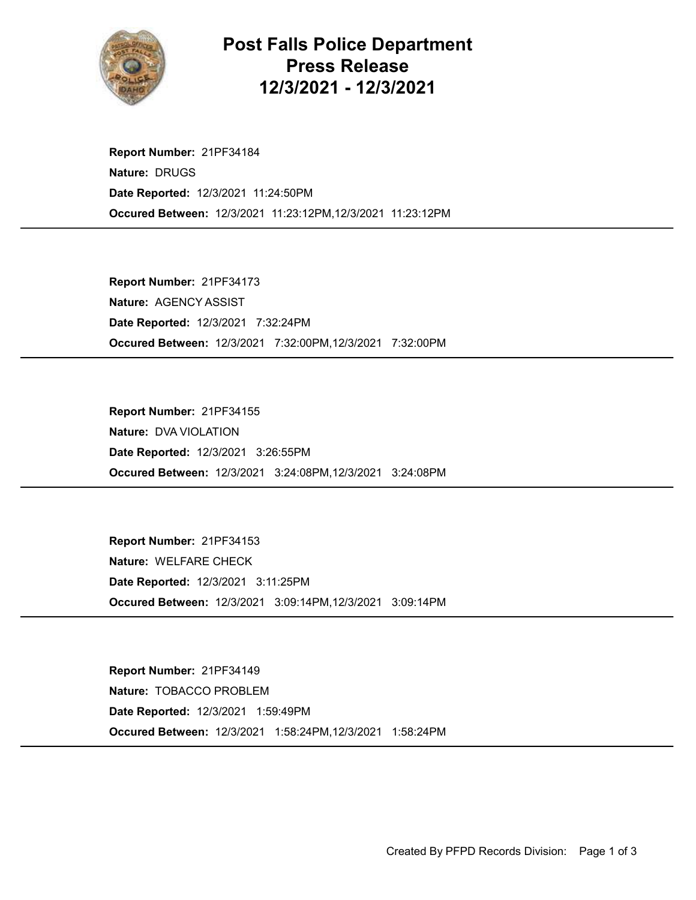

## Post Falls Police Department Press Release 12/3/2021 - 12/3/2021

Occured Between: 12/3/2021 11:23:12PM,12/3/2021 11:23:12PM Report Number: 21PF34184 Nature: DRUGS Date Reported: 12/3/2021 11:24:50PM

Occured Between: 12/3/2021 7:32:00PM,12/3/2021 7:32:00PM Report Number: 21PF34173 Nature: AGENCY ASSIST Date Reported: 12/3/2021 7:32:24PM

Occured Between: 12/3/2021 3:24:08PM,12/3/2021 3:24:08PM Report Number: 21PF34155 Nature: DVA VIOLATION Date Reported: 12/3/2021 3:26:55PM

Occured Between: 12/3/2021 3:09:14PM,12/3/2021 3:09:14PM Report Number: 21PF34153 Nature: WELFARE CHECK Date Reported: 12/3/2021 3:11:25PM

Occured Between: 12/3/2021 1:58:24PM,12/3/2021 1:58:24PM Report Number: 21PF34149 Nature: TOBACCO PROBLEM Date Reported: 12/3/2021 1:59:49PM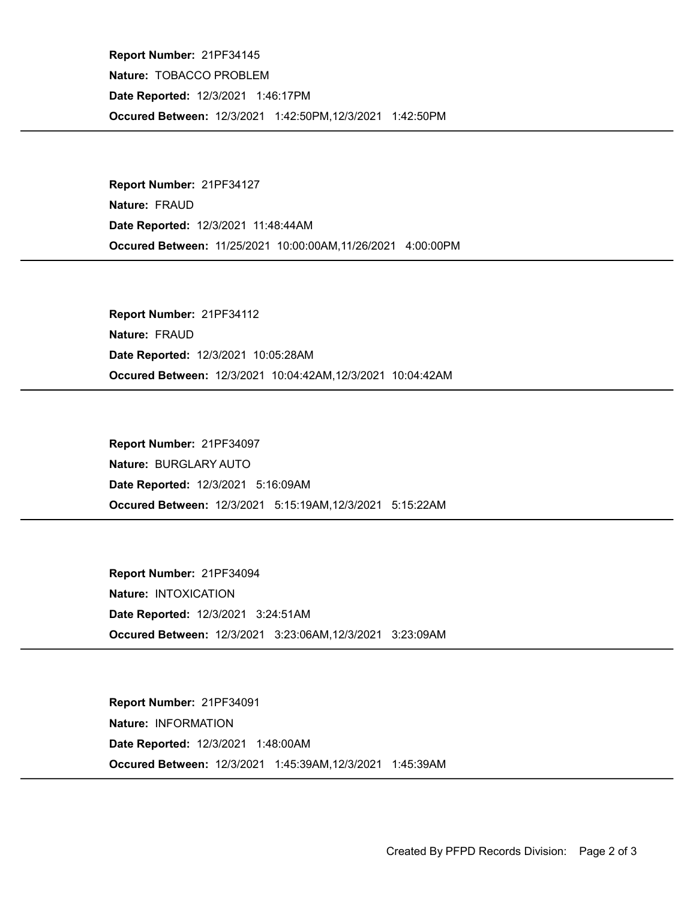Occured Between: 12/3/2021 1:42:50PM,12/3/2021 1:42:50PM Report Number: 21PF34145 Nature: TOBACCO PROBLEM Date Reported: 12/3/2021 1:46:17PM

Occured Between: 11/25/2021 10:00:00AM,11/26/2021 4:00:00PM Report Number: 21PF34127 Nature: FRAUD Date Reported: 12/3/2021 11:48:44AM

Occured Between: 12/3/2021 10:04:42AM,12/3/2021 10:04:42AM Report Number: 21PF34112 Nature: FRAUD Date Reported: 12/3/2021 10:05:28AM

Occured Between: 12/3/2021 5:15:19AM,12/3/2021 5:15:22AM Report Number: 21PF34097 Nature: BURGLARY AUTO Date Reported: 12/3/2021 5:16:09AM

Occured Between: 12/3/2021 3:23:06AM,12/3/2021 3:23:09AM Report Number: 21PF34094 Nature: INTOXICATION Date Reported: 12/3/2021 3:24:51AM

Occured Between: 12/3/2021 1:45:39AM,12/3/2021 1:45:39AM Report Number: 21PF34091 Nature: INFORMATION Date Reported: 12/3/2021 1:48:00AM